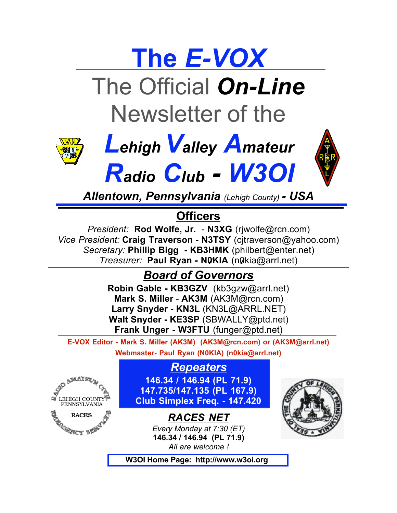

The Official *On-Line* Newsletter of the







*Allentown, Pennsylvania (Lehigh County) - USA*

## **Officers**

*President:* **Rod Wolfe, Jr.** - **N3XG** (rjwolfe@rcn.com) *Vice President:* **Craig Traverson - N3TSY** (cjtraverson@yahoo.com) *Secretary:* **Phillip Bigg - KB3HMK** (philbert@enter.net) *Treasurer:* **Paul Ryan - N0KIA** (n0kia@arrl.net)

# *Board of Governors*

**Robin Gable - KB3GZV** (kb3gzw@arrl.net) **Mark S. Miller** - **AK3M** (AK3M@rcn.com) **Larry Snyder - KN3L** (KN3L@ARRL.NET) **Walt Snyder - KE3SP** (SBWALLY@ptd.net) **Frank Unger - W3FTU** (funger@ptd.net)

**E-VOX Editor - Mark S. Miller (AK3M) (AK3M@rcn.com) or (AK3M@arrl.net)**

**Webmaster- Paul Ryan (N0KIA) (n0kia@arrl.net)**



*Repeaters* **146.34 / 146.94 (PL 71.9) 147.735/147.135 (PL 167.9) Club Simplex Freq. - 147.420**

> *RACES NET Every Monday at 7:30 (ET)*  **146.34 / 146.94 (PL 71.9)** *All are welcome !*



 **W3OI Home Page: http://www.w3oi.org**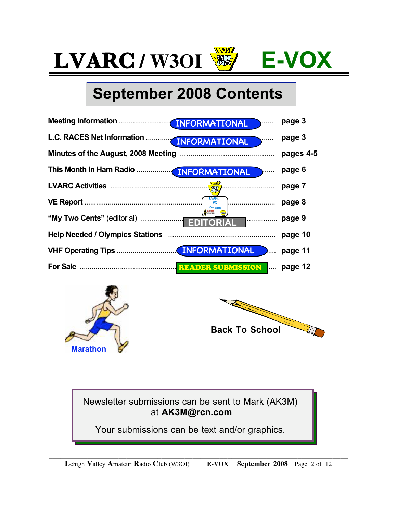# **September 2008 Contents**

|                                           | INFORMATIONAL<br>$\frac{1}{2}$ | page 3    |
|-------------------------------------------|--------------------------------|-----------|
| L.C. RACES Net Information  INFORMATIONAL |                                | page 3    |
|                                           |                                | pages 4-5 |
|                                           | INFORMATIONAL June             | page 6    |
|                                           |                                | page 7    |
|                                           |                                | page 8    |
|                                           |                                |           |
|                                           |                                | page 10   |
|                                           |                                | page 11   |
|                                           |                                |           |





Newsletter submissions can be sent to Mark (AK3M) at **AK3M@rcn.com**

Your submissions can be text and/or graphics.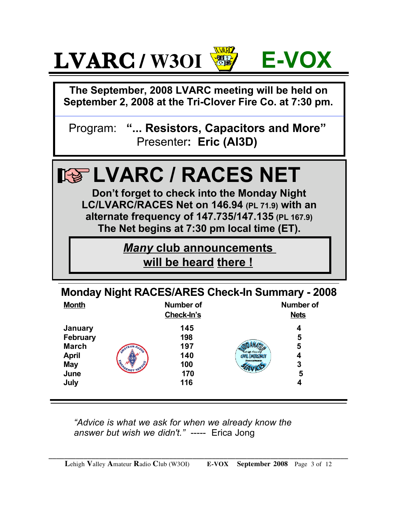

**The September, 2008 LVARC meeting will be held on September 2, 2008 at the Tri-Clover Fire Co. at 7:30 pm.**

Program: **"... Resistors, Capacitors and More"** Presenter**: Eric (AI3D)**



| <b>Monday Night RACES/ARES Check-In Summary - 2008</b> |
|--------------------------------------------------------|
|--------------------------------------------------------|

| <b>Month</b>                                                                             |     | Number of<br>Check-In's                       |                                                         | Number of<br><b>Nets</b>   |
|------------------------------------------------------------------------------------------|-----|-----------------------------------------------|---------------------------------------------------------|----------------------------|
| January<br><b>February</b><br><b>March</b><br><b>April</b><br><b>May</b><br>June<br>July | ADE | 145<br>198<br>197<br>140<br>100<br>170<br>116 | Lehigh County<br><b>CIVIL EMERGENCY</b><br>Pennsylvania | 4<br>5<br>5<br>4<br>3<br>5 |

*"Advice is what we ask for when we already know the answer but wish we didn't."* ----- Erica Jong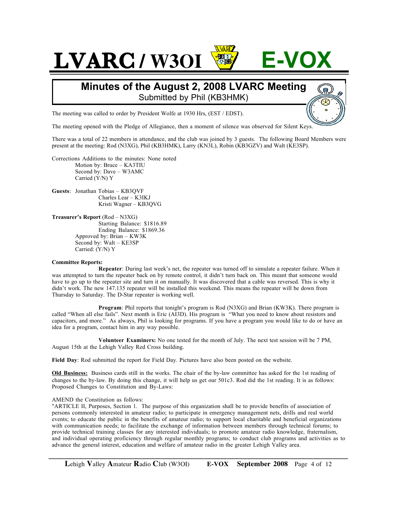#### **Minutes of the August 2, 2008 LVARC Meeting** Submitted by Phil (KB3HMK)

The meeting was called to order by President Wolfe at 1930 Hrs, (EST / EDST).

The meeting opened with the Pledge of Allegiance, then a moment of silence was observed for Silent Keys.

There was a total of 22 members in attendance, and the club was joined by 3 guests. The following Board Members were present at the meeting: Rod (N3XG), Phil (KB3HMK), Larry (KN3L), Robin (KB3GZV) and Walt (KE3SP).

Corrections Additions to the minutes: None noted Motion by: Bruce – KA3TIU Second by: Dave – W3AMC Carried (Y/N) Y

#### **Guests**: Jonathan Tobias – KB3QVF Charles Lear – K3IKJ Kristi Wagner – KB3QVG

**Treasurer's Report** (Rod – N3XG) Starting Balance: \$1816.89 Ending Balance: \$1869.36 Approved by: Brian – KW3K Second by: Walt – KE3SP Carried: (Y/N) Y

#### **Committee Reports:**

**Repeater**: During last week's net, the repeater was turned off to simulate a repeater failure. When it was attempted to turn the repeater back on by remote control, it didn't turn back on. This meant that someone would have to go up to the repeater site and turn it on manually. It was discovered that a cable was reversed. This is why it didn't work. The new 147.135 repeater will be installed this weekend. This means the repeater will be down from Thursday to Saturday. The D-Star repeater is working well.

**Program**: Phil reports that tonight's program is Rod (N3XG) and Brian (KW3K). There program is called "When all else fails". Next month is Eric (AI3D). His program is "What you need to know about resistors and capacitors, and more." As always, Phil is looking for programs. If you have a program you would like to do or have an idea for a program, contact him in any way possible.

**Volunteer Examiners:** No one tested for the month of July. The next test session will be 7 PM, August 15th at the Lehigh Valley Red Cross building.

**Field Day**: Rod submitted the report for Field Day. Pictures have also been posted on the website.

**Old Business:** Business cards still in the works. The chair of the by-law committee has asked for the 1st reading of changes to the by-law. By doing this change, it will help us get our 501c3. Rod did the 1st reading. It is as follows: Proposed Changes to Constitution and By-Laws:

#### AMEND the Constitution as follows:

"ARTICLE II, Purposes, Section 1. The purpose of this organization shall be to provide benefits of association of persons commonly interested in amateur radio; to participate in emergency management nets, drills and real world events; to educate the public in the benefits of amateur radio; to support local charitable and beneficial organizations with communication needs; to facilitate the exchange of information between members through technical forums; to provide technical training classes for any interested individuals; to promote amateur radio knowledge, fraternalism, and individual operating proficiency through regular monthly programs; to conduct club programs and activities as to advance the general interest, education and welfare of amateur radio in the greater Lehigh Valley area.

**\_\_\_\_\_\_\_\_\_\_\_\_\_\_\_\_\_\_\_\_\_\_\_\_\_\_\_\_\_\_\_\_\_\_\_\_\_\_\_\_\_\_\_\_\_\_\_\_\_\_\_\_\_\_\_\_\_\_\_\_\_\_\_\_\_\_\_\_\_\_\_\_\_\_\_\_\_**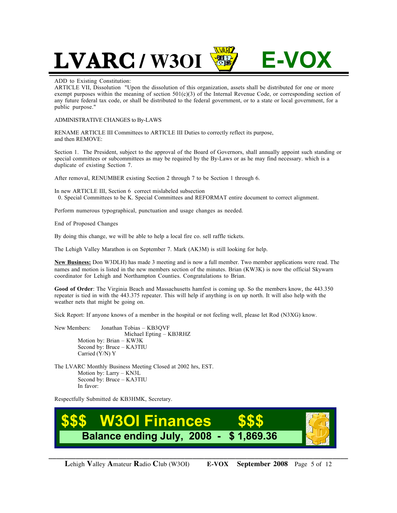#### ADD to Existing Constitution:

ARTICLE VII, Dissolution "Upon the dissolution of this organization, assets shall be distributed for one or more exempt purposes within the meaning of section  $501(c)(3)$  of the Internal Revenue Code, or corresponding section of any future federal tax code, or shall be distributed to the federal government, or to a state or local government, for a public purpose."

#### ADMINISTRATIVE CHANGES to By-LAWS

RENAME ARTICLE III Committees to ARTICLE III Duties to correctly reflect its purpose, and then REMOVE:

Section 1. The President, subject to the approval of the Board of Governors, shall annually appoint such standing or special committees or subcommittees as may be required by the By-Laws or as he may find necessary. which is a duplicate of existing Section 7.

After removal, RENUMBER existing Section 2 through 7 to be Section 1 through 6.

In new ARTICLE III, Section 6 correct mislabeled subsection 0. Special Committees to be K. Special Committees and REFORMAT entire document to correct alignment.

Perform numerous typographical, punctuation and usage changes as needed.

End of Proposed Changes

By doing this change, we will be able to help a local fire co. sell raffle tickets.

The Lehigh Valley Marathon is on September 7. Mark (AK3M) is still looking for help.

**New Business:** Don W3DLH) has made 3 meeting and is now a full member. Two member applications were read. The names and motion is listed in the new members section of the minutes. Brian (KW3K) is now the official Skywarn coordinator for Lehigh and Northampton Counties. Congratulations to Brian.

**Good of Order**: The Virginia Beach and Massachusetts hamfest is coming up. So the members know, the 443.350 repeater is tied in with the 443.375 repeater. This will help if anything is on up north. It will also help with the weather nets that might be going on.

Sick Report: If anyone knows of a member in the hospital or not feeling well, please let Rod (N3XG) know.

New Members: Jonathan Tobias – KB3QVF Michael Epting – KB3RHZ Motion by: Brian – KW3K Second by: Bruce – KA3TIU Carried (Y/N) Y

The LVARC Monthly Business Meeting Closed at 2002 hrs, EST. Motion by: Larry – KN3L Second by: Bruce – KA3TIU In favor:

Respectfully Submitted de KB3HMK, Secretary.

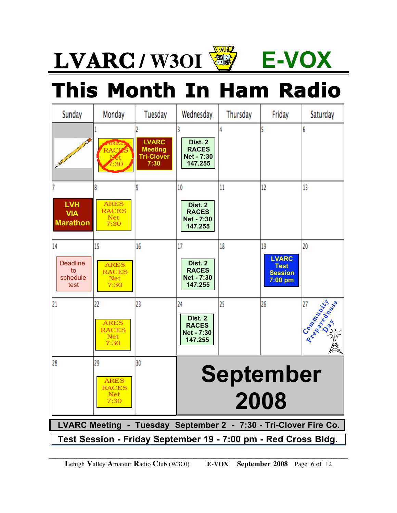# **This Month In Ham Radio**

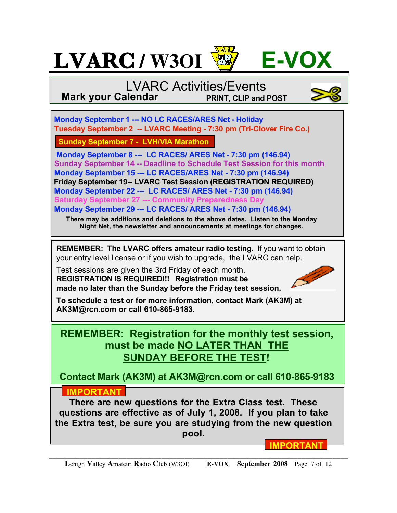

## LVARC Activities/Events **Mark your Calendar PRINT, CLIP and POST**

 **Monday September 1 --- NO LC RACES/ARES Net - Holiday Tuesday September 2 -- LVARC Meeting - 7:30 pm (Tri-Clover Fire Co.)**

 **Sunday September 7 - LVH/VIA Marathon**

 **Monday September 8 --- LC RACES/ ARES Net - 7:30 pm (146.94) Sunday September 14 -- Deadline to Schedule Test Session for this month Monday September 15 --- LC RACES/ARES Net - 7:30 pm (146.94) Friday September 19-- LVARC Test Session (REGISTRATION REQUIRED) Monday September 22 --- LC RACES/ ARES Net - 7:30 pm (146.94) Saturday September 27 --- Community Preparedness Day Monday September 29 --- LC RACES/ ARES Net - 7:30 pm (146.94)**

**There may be additions and deletions to the above dates. Listen to the Monday Night Net, the newsletter and announcements at meetings for changes.**

**REMEMBER: The LVARC offers amateur radio testing.** If you want to obtain your entry level license or if you wish to upgrade, the LVARC can help.

Test sessions are given the 3rd Friday of each month. **REGISTRATION IS REQUIRED!!! Registration must be made no later than the Sunday before the Friday test session.**



**To schedule a test or for more information, contact Mark (AK3M) at AK3M@rcn.com or call 610-865-9183.**

## **REMEMBER: Registration for the monthly test session, must be made NO LATER THAN THE SUNDAY BEFORE THE TEST!**

**Contact Mark (AK3M) at AK3M@rcn.com or call 610-865-9183**

## **IMPORTANT**

**There are new questions for the Extra Class test. These questions are effective as of July 1, 2008. If you plan to take the Extra test, be sure you are studying from the new question pool.**

**\_\_\_\_\_\_\_\_\_\_\_\_\_\_\_\_\_\_\_\_\_\_\_\_\_\_\_\_\_\_\_\_\_\_\_\_\_\_\_\_\_\_\_\_\_\_\_\_\_\_\_\_\_\_\_\_\_\_\_\_\_\_\_\_\_\_\_\_\_\_\_\_\_\_\_\_\_**

**IMPORTANT**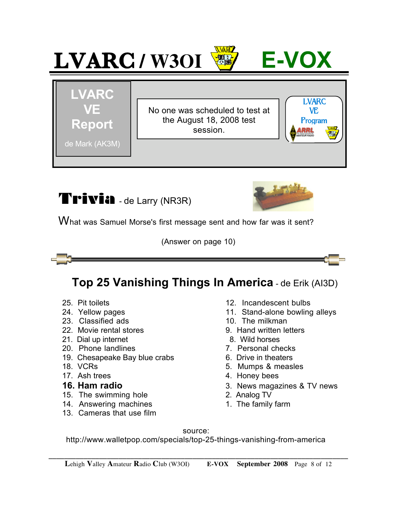





What was Samuel Morse's first message sent and how far was it sent?

(Answer on page 10)



- 
- 
- 23. Classified ads 10. The milkman
- 22 Movie rental stores 19. Second 1.2. Movie rental stores 1.2. Second 1.2. Movie rental stores 1.2. Movie 1.2. Movie rental at the 1.2. Movie 1.2. Movie 1.2. Movie 1.2. Movie 1.2. Movie 1.2. Movie 1.2. Movie 1.2. Movie 1.
- 21. Dial up internet and the set of the 8. Wild horses
- 20. Phone landlines **7. Personal checks**
- 19. Chesapeake Bay blue crabs 6. Drive in theaters
- 
- 

- 15. The swimming hole 2. Analog TV
- 14. Answering machines 1. The family farm
- 13. Cameras that use film
- 25. Pit toilets 12. Incandescent bulbs
- 24. Yellow pages 11. Stand-alone bowling alleys
	-
	-
	-
	-
	-
- 18. VCRs 6. The set of the set of the set of the Second St. Mumps & measles
- 17. Ash trees 17. Ash trees 17. Ash trees 17. Ash trees 17. Ash trees 17. Ash trees 17. Ash trees 17. Ash trees
- **16. Ham radio** 3. News magazines & TV news
	-
	-

source:

http://www.walletpop.com/specials/top-25-things-vanishing-from-america

**\_\_\_\_\_\_\_\_\_\_\_\_\_\_\_\_\_\_\_\_\_\_\_\_\_\_\_\_\_\_\_\_\_\_\_\_\_\_\_\_\_\_\_\_\_\_\_\_\_\_\_\_\_\_\_\_\_\_\_\_\_\_\_\_\_\_\_\_\_\_\_\_\_\_\_\_\_**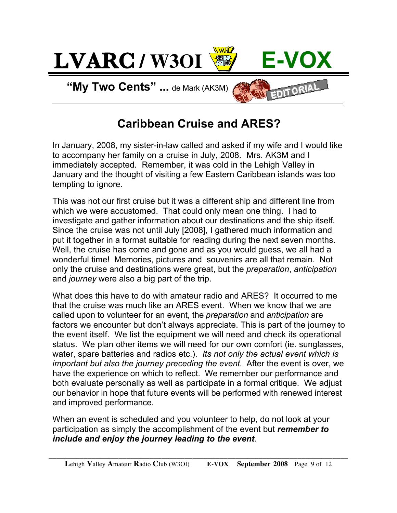

## **Caribbean Cruise and ARES?**

In January, 2008, my sister-in-law called and asked if my wife and I would like to accompany her family on a cruise in July, 2008. Mrs. AK3M and I immediately accepted. Remember, it was cold in the Lehigh Valley in January and the thought of visiting a few Eastern Caribbean islands was too tempting to ignore.

This was not our first cruise but it was a different ship and different line from which we were accustomed. That could only mean one thing. I had to investigate and gather information about our destinations and the ship itself. Since the cruise was not until July [2008], I gathered much information and put it together in a format suitable for reading during the next seven months. Well, the cruise has come and gone and as you would guess, we all had a wonderful time! Memories, pictures and souvenirs are all that remain. Not only the cruise and destinations were great, but the *preparation*, *anticipation* and *journey* were also a big part of the trip.

What does this have to do with amateur radio and ARES? It occurred to me that the cruise was much like an ARES event. When we know that we are called upon to volunteer for an event, the *preparation* and *anticipation* are factors we encounter but don't always appreciate. This is part of the journey to the event itself. We list the equipment we will need and check its operational status. We plan other items we will need for our own comfort (ie. sunglasses, water, spare batteries and radios etc.). *Its not only the actual event which is important but also the journey preceding the event.* After the event is over, we have the experience on which to reflect. We remember our performance and both evaluate personally as well as participate in a formal critique. We adjust our behavior in hope that future events will be performed with renewed interest and improved performance.

When an event is scheduled and you volunteer to help, do not look at your participation as simply the accomplishment of the event but *remember to include and enjoy the journey leading to the event*.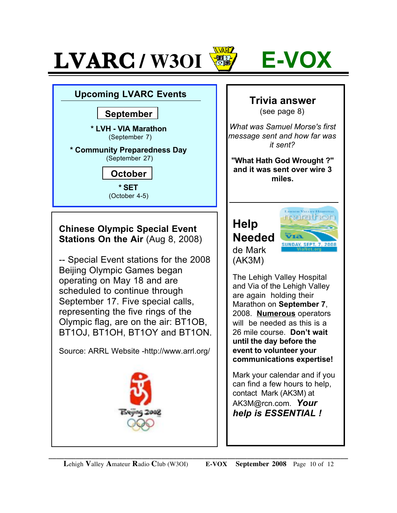



### **Upcoming LVARC Events**

#### **September**

**\* LVH - VIA Marathon** (September 7)

#### **\* Community Preparedness Day** (September 27)

**October \* SET**

(October 4-5)

### **Chinese Olympic Special Event Stations On the Air** (Aug 8, 2008)

-- Special Event stations for the 2008 Beijing Olympic Games began operating on May 18 and are scheduled to continue through September 17. Five special calls, representing the five rings of the Olympic flag, are on the air: BT1OB, BT1OJ, BT1OH, BT1OY and BT1ON.

Source: ARRL Website -http://www.arrl.org/



# **Trivia answer**

(see page 8)

*What was Samuel Morse's first message sent and how far was it sent?*

**"What Hath God Wrought ?" and it was sent over wire 3 miles.**

## **Help Needed** de Mark (AK3M)



The Lehigh Valley Hospital and Via of the Lehigh Valley are again holding their Marathon on **September 7**, 2008. **Numerous** operators will be needed as this is a 26 mile course. **Don't wait until the day before the event to volunteer your communications expertise!** 

Mark your calendar and if you can find a few hours to help, contact Mark (AK3M) at AK3M@rcn.com. *Your help is ESSENTIAL !*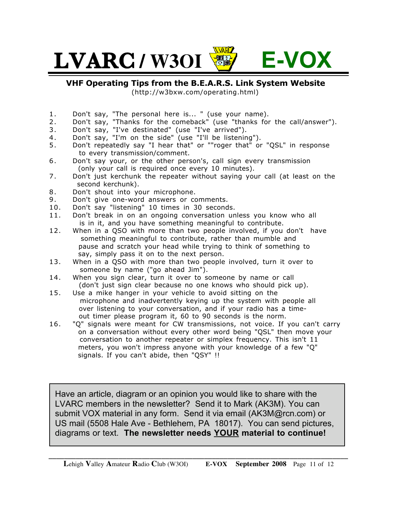

**VHF Operating Tips from the B.E.A.R.S. Link System Website** 

(http://w3bxw.com/operating.html)

- 1. Don't say, "The personal here is... " (use your name).
- 2 . Don't say, "Thanks for the comeback" (use "thanks for the call/answer").
- 3 . Don't say, "I've destinated" (use "I've arrived").
- 4 . Don't say, "I'm on the side" (use "I'll be listening").
- 5 . Don't repeatedly say "I hear that" or ""roger that" or "QSL" in response to every transmission/comment.
- 6. Don't say your, or the other person's, call sign every transmission (only your call is required once every 10 minutes).
- 7. Don't just kerchunk the repeater without saying your call (at least on the second kerchunk).
- 8. Don't shout into your microphone.
- 9. Don't give one-word answers or comments.
- 10. Don't say "listening" 10 times in 30 seconds.
- 11. Don't break in on an ongoing conversation unless you know who all is in it, and you have something meaningful to contribute.
- 12. When in a QSO with more than two people involved, if you don't have something meaningful to contribute, rather than mumble and pause and scratch your head while trying to think of something to say, simply pass it on to the next person.
- 13. When in a QSO with more than two people involved, turn it over to someone by name ("go ahead Jim").
- 14. When you sign clear, turn it over to someone by name or call (don't just sign clear because no one knows who should pick up).
- 15. Use a mike hanger in your vehicle to avoid sitting on the microphone and inadvertently keying up the system with people all over listening to your conversation, and if your radio has a time out timer please program it, 60 to 90 seconds is the norm.
- 16. "Q" signals were meant for CW transmissions, not voice. If you can't carry on a conversation without every other word being "QSL" then move your conversation to another repeater or simplex frequency. This isn't 11 meters, you won't impress anyone with your knowledge of a few "Q" signals. If you can't abide, then "QSY" !!

Have an article, diagram or an opinion you would like to share with the LVARC members in the newsletter? Send it to Mark (AK3M). You can submit VOX material in any form. Send it via email (AK3M@rcn.com) or US mail (5508 Hale Ave - Bethlehem, PA 18017). You can send pictures, diagrams or text. **The newsletter needs YOUR material to continue!**